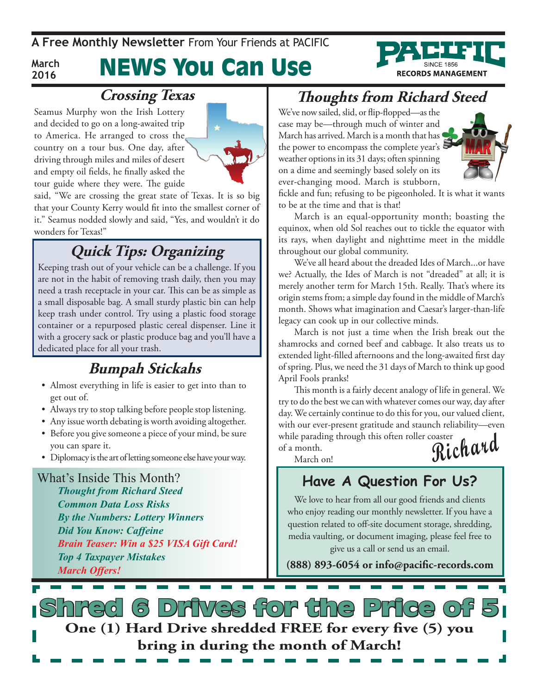**A Free Monthly Newsletter** From Your Friends at Pacific

## News You Can Use

# **RECORDS MANAGEMENT**

### **Crossing Texas**

Seamus Murphy won the Irish Lottery and decided to go on a long-awaited trip to America. He arranged to cross the country on a tour bus. One day, after driving through miles and miles of desert and empty oil fields, he finally asked the tour guide where they were. The guide

**March 2016**



said, "We are crossing the great state of Texas. It is so big that your County Kerry would fit into the smallest corner of it." Seamus nodded slowly and said, "Yes, and wouldn't it do wonders for Texas!"

## **Quick Tips: Organizing**

Keeping trash out of your vehicle can be a challenge. If you are not in the habit of removing trash daily, then you may need a trash receptacle in your car. This can be as simple as a small disposable bag. A small sturdy plastic bin can help keep trash under control. Try using a plastic food storage container or a repurposed plastic cereal dispenser. Line it with a grocery sack or plastic produce bag and you'll have a dedicated place for all your trash.

#### **Bumpah Stickahs**

- • Almost everything in life is easier to get into than to get out of.
- Always try to stop talking before people stop listening.
- Any issue worth debating is worth avoiding altogether.
- • Before you give someone a piece of your mind, be sure you can spare it.
- • Diplomacy is the art of letting someone else have your way.

What's Inside This Month? *Thought from Richard Steed Common Data Loss Risks By the Numbers: Lottery Winners Did You Know: Caffeine Brain Teaser: Win a \$25 VISA Gift Card! Top 4 Taxpayer Mistakes March Offers!*

## **Thoughts from Richard Steed**

We've now sailed, slid, or flip-flopped—as the case may be—through much of winter and March has arrived. March is a month that has the power to encompass the complete year's weather options in its 31 days; often spinning on a dime and seemingly based solely on its ever-changing mood. March is stubborn,



fickle and fun; refusing to be pigeonholed. It is what it wants to be at the time and that is that!

March is an equal-opportunity month; boasting the equinox, when old Sol reaches out to tickle the equator with its rays, when daylight and nighttime meet in the middle throughout our global community.

We've all heard about the dreaded Ides of March...or have we? Actually, the Ides of March is not "dreaded" at all; it is merely another term for March 15th. Really. That's where its origin stems from; a simple day found in the middle of March's month. Shows what imagination and Caesar's larger-than-life legacy can cook up in our collective minds.

March is not just a time when the Irish break out the shamrocks and corned beef and cabbage. It also treats us to extended light-filled afternoons and the long-awaited first day of spring. Plus, we need the 31 days of March to think up good April Fools pranks!

**Richard** This month is a fairly decent analogy of life in general. We try to do the best we can with whatever comes our way, day after day. We certainly continue to do this for you, our valued client, with our ever-present gratitude and staunch reliability—even while parading through this often roller coaster of a month.

March on!

#### **Have A Question For Us?**

We love to hear from all our good friends and clients who enjoy reading our monthly newsletter. If you have a question related to off-site document storage, shredding, media vaulting, or document imaging, please feel free to give us a call or send us an email.

**(888) 893-6054 or info@pacific-records.com**

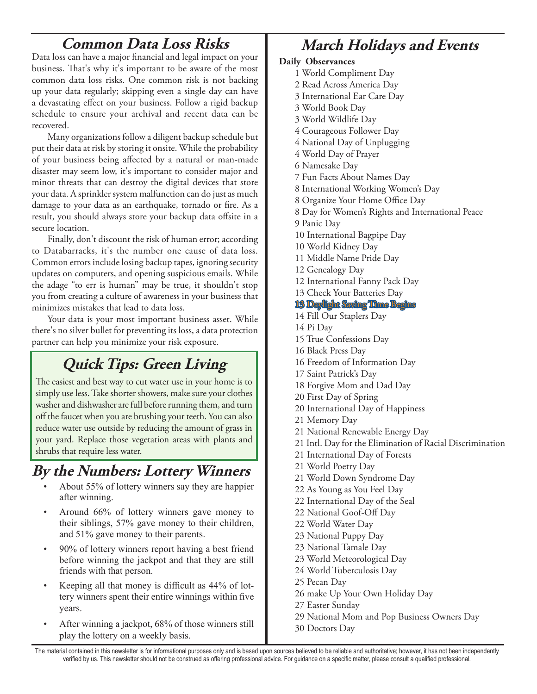### **Common Data Loss Risks**

Data loss can have a major financial and legal impact on your business. That's why it's important to be aware of the most common data loss risks. One common risk is not backing up your data regularly; skipping even a single day can have a devastating effect on your business. Follow a rigid backup schedule to ensure your archival and recent data can be recovered.

Many organizations follow a diligent backup schedule but put their data at risk by storing it onsite. While the probability of your business being affected by a natural or man-made disaster may seem low, it's important to consider major and minor threats that can destroy the digital devices that store your data. A sprinkler system malfunction can do just as much damage to your data as an earthquake, tornado or fire. As a result, you should always store your backup data offsite in a secure location.

Finally, don't discount the risk of human error; according to Databarracks, it's the number one cause of data loss. Common errors include losing backup tapes, ignoring security updates on computers, and opening suspicious emails. While the adage "to err is human" may be true, it shouldn't stop you from creating a culture of awareness in your business that minimizes mistakes that lead to data loss.

Your data is your most important business asset. While there's no silver bullet for preventing its loss, a data protection partner can help you minimize your risk exposure.

## **Quick Tips: Green Living**

The easiest and best way to cut water use in your home is to simply use less. Take shorter showers, make sure your clothes washer and dishwasher are full before running them, and turn off the faucet when you are brushing your teeth. You can also reduce water use outside by reducing the amount of grass in your yard. Replace those vegetation areas with plants and shrubs that require less water.

#### **By the Numbers: Lottery Winners**

- About 55% of lottery winners say they are happier after winning.
- Around 66% of lottery winners gave money to their siblings, 57% gave money to their children, and 51% gave money to their parents.
- 90% of lottery winners report having a best friend before winning the jackpot and that they are still friends with that person.
- Keeping all that money is difficult as  $44\%$  of lottery winners spent their entire winnings within five years.
- After winning a jackpot, 68% of those winners still play the lottery on a weekly basis.

## **March Holidays and Events**

#### **Daily Observances**

- 1 World Compliment Day
- 2 Read Across America Day
- 3 International Ear Care Day
- 3 World Book Day
- 3 World Wildlife Day
- 4 Courageous Follower Day
- 4 National Day of Unplugging
- 4 World Day of Prayer
- 6 Namesake Day
- 7 Fun Facts About Names Day
- 8 International Working Women's Day
- 8 Organize Your Home Office Day
- 8 Day for Women's Rights and International Peace
- 9 Panic Day
- 10 International Bagpipe Day
- 10 World Kidney Day
- 11 Middle Name Pride Day
- 12 Genealogy Day
- 12 International Fanny Pack Day
- 13 Check Your Batteries Day

#### 13 Daylight Saving Time Begins

- 14 Fill Our Staplers Day
- 14 Pi Day
- 15 True Confessions Day
- 16 Black Press Day
- 16 Freedom of Information Day
- 17 Saint Patrick's Day
- 18 Forgive Mom and Dad Day
- 20 First Day of Spring
- 20 International Day of Happiness
- 21 Memory Day
- 21 National Renewable Energy Day
- 21 Intl. Day for the Elimination of Racial Discrimination
- 21 International Day of Forests
- 21 World Poetry Day
- 21 World Down Syndrome Day
- 22 As Young as You Feel Day
- 22 International Day of the Seal
- 22 National Goof-Off Day
- 22 World Water Day
- 23 National Puppy Day
- 23 National Tamale Day
- 23 World Meteorological Day
- 24 World Tuberculosis Day
- 25 Pecan Day
- 26 make Up Your Own Holiday Day
- 27 Easter Sunday
- 29 National Mom and Pop Business Owners Day
- 30 Doctors Day

The material contained in this newsletter is for informational purposes only and is based upon sources believed to be reliable and authoritative; however, it has not been independently verified by us. This newsletter should not be construed as offering professional advice. For guidance on a specific matter, please consult a qualified professional.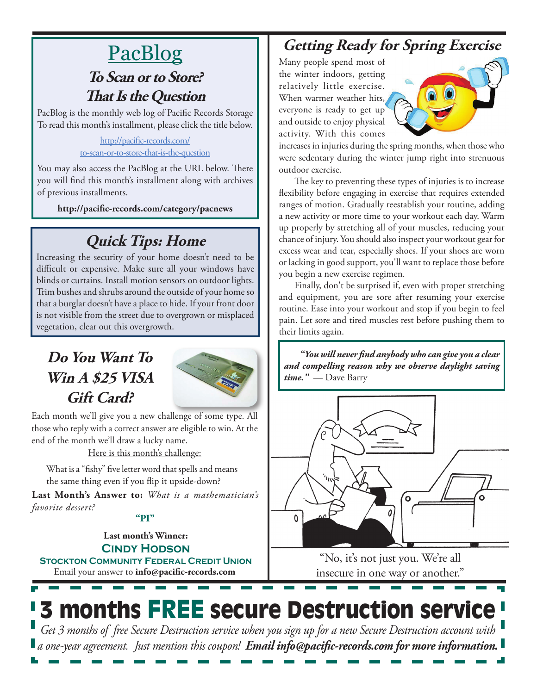# PacBlog

#### **To Scan or to Store? That Is the Question**

PacBlog is the monthly web log of Pacific Records Storage To read this month's installment, please click the title below.

#### [http://pacific-records.com/](http://pacific-records.com/to-scan-or-to-store-that-is-the-question) [to-scan-or-to-store-that-is-the-question](http://pacific-records.com/to-scan-or-to-store-that-is-the-question)

You may also access the PacBlog at the URL below. There you will find this month's installment along with archives of previous installments.

**http://pacific-records.com/category/pacnews**

## **Quick Tips: Home**

Increasing the security of your home doesn't need to be difficult or expensive. Make sure all your windows have blinds or curtains. Install motion sensors on outdoor lights. Trim bushes and shrubs around the outside of your home so that a burglar doesn't have a place to hide. If your front door is not visible from the street due to overgrown or misplaced vegetation, clear out this overgrowth.

### **Do You Want To Win A \$25 VISA Gift Card?**



Each month we'll give you a new challenge of some type. All those who reply with a correct answer are eligible to win. At the end of the month we'll draw a lucky name.

Here is this month's challenge:

What is a "fishy" five letter word that spells and means the same thing even if you flip it upside-down?

**Last Month's Answer to:** *What is a mathematician's favorite dessert?*

#### **"PI"**

Email your answer to **info@pacific-records.com Last month's Winner: Cindy Hodson Stockton Community Federal Credit Union**

## **Getting Ready for Spring Exercise**

Many people spend most of the winter indoors, getting relatively little exercise. When warmer weather hits, everyone is ready to get up and outside to enjoy physical activity. With this comes



increases in injuries during the spring months, when those who were sedentary during the winter jump right into strenuous outdoor exercise.

The key to preventing these types of injuries is to increase flexibility before engaging in exercise that requires extended ranges of motion. Gradually reestablish your routine, adding a new activity or more time to your workout each day. Warm up properly by stretching all of your muscles, reducing your chance of injury. You should also inspect your workout gear for excess wear and tear, especially shoes. If your shoes are worn or lacking in good support, you'll want to replace those before you begin a new exercise regimen.

Finally, don't be surprised if, even with proper stretching and equipment, you are sore after resuming your exercise routine. Ease into your workout and stop if you begin to feel pain. Let sore and tired muscles rest before pushing them to their limits again.

*"You will never find anybody who can give you a clear and compelling reason why we observe daylight saving time."* — Dave Barry



"No, it's not just you. We're all insecure in one way or another."

# 3 months FREE secure Destruction service

*Get 3 months of free Secure Destruction service when you sign up for a new Secure Destruction account with a one-year agreement. Just mention this coupon! Email info@pacific-records.com for more information.*